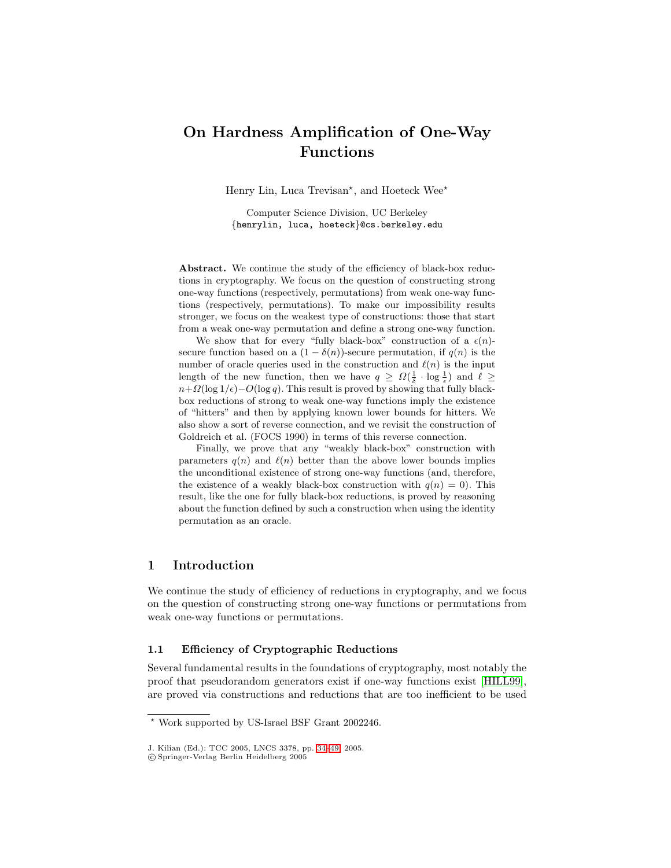# **On Hardness Amplification of One-Way Functions**

Henry Lin, Luca Trevisan<sup>\*</sup>, and Hoeteck Wee<sup>\*</sup>

Computer Science Division, UC Berkeley {henrylin, luca, hoeteck}@cs.berkeley.edu

Abstract. We continue the study of the efficiency of black-box reductions in cryptography. We focus on the question of constructing strong one-way functions (respectively, permutations) from weak one-way functions (respectively, permutations). To make our impossibility results stronger, we focus on the weakest type of constructions: those that start from a weak one-way permutation and define a strong one-way function.

We show that for every "fully black-box" construction of a  $\epsilon(n)$ secure function based on a  $(1 - \delta(n))$ -secure permutation, if  $q(n)$  is the number of oracle queries used in the construction and  $\ell(n)$  is the input length of the new function, then we have  $q \geq \Omega(\frac{1}{\delta} \cdot \log \frac{1}{\epsilon})$  and  $\ell \geq$  $n+\Omega(\log 1/\epsilon)-O(\log q)$ . This result is proved by showing that fully blackbox reductions of strong to weak one-way functions imply the existence of "hitters" and then by applying known lower bounds for hitters. We also show a sort of reverse connection, and we revisit the construction of Goldreich et al. (FOCS 1990) in terms of this reverse connection.

Finally, we prove that any "weakly black-box" construction with parameters  $q(n)$  and  $\ell(n)$  better than the above lower bounds implies the unconditional existence of strong one-way functions (and, therefore, the existence of a weakly black-box construction with  $q(n) = 0$ . This result, like the one for fully black-box reductions, is proved by reasoning about the function defined by such a construction when using the identity permutation as an oracle.

## **1 Introduction**

We continue the study of efficiency of reductions in cryptography, and we focus on the question of constructing strong one-way functions or permutations from weak one-way functions or permutations.

#### **1.1 Efficiency of Cryptographic Reductions**

Several fundamental results in the foundations of cryptography, most notably the proof that pseudorandom generators exist if one-way functions exist [\[HILL99\]](#page-14-0), are proved via constructions and reductions that are too inefficient to be used

 $^{\star}$  Work supported by US-Israel BSF Grant 2002246.

J. Kilian (Ed.): TCC 2005, LNCS 3378, pp. 34[–49,](#page-15-0) 2005.

c Springer-Verlag Berlin Heidelberg 2005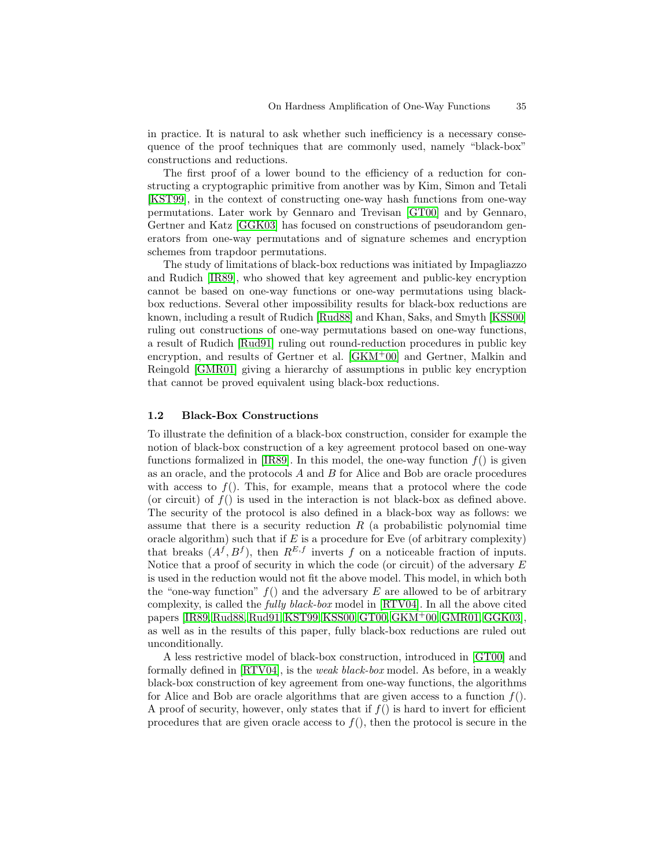in practice. It is natural to ask whether such inefficiency is a necessary consequence of the proof techniques that are commonly used, namely "black-box" constructions and reductions.

The first proof of a lower bound to the efficiency of a reduction for constructing a cryptographic primitive from another was by Kim, Simon and Tetali [\[KST99\]](#page-15-0), in the context of constructing one-way hash functions from one-way permutations. Later work by Gennaro and Trevisan [\[GT00\]](#page-14-0) and by Gennaro, Gertner and Katz [\[GGK03\]](#page-14-0) has focused on constructions of pseudorandom generators from one-way permutations and of signature schemes and encryption schemes from trapdoor permutations.

The study of limitations of black-box reductions was initiated by Impagliazzo and Rudich [\[IR89\]](#page-14-0), who showed that key agreement and public-key encryption cannot be based on one-way functions or one-way permutations using blackbox reductions. Several other impossibility results for black-box reductions are known, including a result of Rudich [\[Rud88\]](#page-15-0) and Khan, Saks, and Smyth [\[KSS00\]](#page-14-0) ruling out constructions of one-way permutations based on one-way functions, a result of Rudich [\[Rud91\]](#page-15-0) ruling out round-reduction procedures in public key encryption, and results of Gertner et al. [\[GKM](#page-14-0)+00] and Gertner, Malkin and Reingold [\[GMR01\]](#page-14-0) giving a hierarchy of assumptions in public key encryption that cannot be proved equivalent using black-box reductions.

#### **1.2 Black-Box Constructions**

To illustrate the definition of a black-box construction, consider for example the notion of black-box construction of a key agreement protocol based on one-way functions formalized in [\[IR89\]](#page-14-0). In this model, the one-way function  $f()$  is given as an oracle, and the protocols  $A$  and  $B$  for Alice and Bob are oracle procedures with access to  $f(.)$ . This, for example, means that a protocol where the code (or circuit) of  $f()$  is used in the interaction is not black-box as defined above. The security of the protocol is also defined in a black-box way as follows: we assume that there is a security reduction  $R$  (a probabilistic polynomial time oracle algorithm) such that if  $E$  is a procedure for Eve (of arbitrary complexity) that breaks  $(A^f, B^f)$ , then  $R^{E,f}$  inverts f on a noticeable fraction of inputs. Notice that a proof of security in which the code (or circuit) of the adversary  $E$ is used in the reduction would not fit the above model. This model, in which both the "one-way function"  $f()$  and the adversary E are allowed to be of arbitrary complexity, is called the *fully black-box* model in [\[RTV04\]](#page-15-0). In all the above cited papers [\[IR89,](#page-14-0) [Rud88, Rud91, KST99,](#page-15-0) [KSS00, GT00, GKM](#page-14-0)<sup>+</sup>00, [GMR01, GGK03\]](#page-14-0), as well as in the results of this paper, fully black-box reductions are ruled out unconditionally.

A less restrictive model of black-box construction, introduced in [\[GT00\]](#page-14-0) and formally defined in [\[RTV04\]](#page-15-0), is the *weak black-box* model. As before, in a weakly black-box construction of key agreement from one-way functions, the algorithms for Alice and Bob are oracle algorithms that are given access to a function  $f(.)$ . A proof of security, however, only states that if  $f()$  is hard to invert for efficient procedures that are given oracle access to  $f()$ , then the protocol is secure in the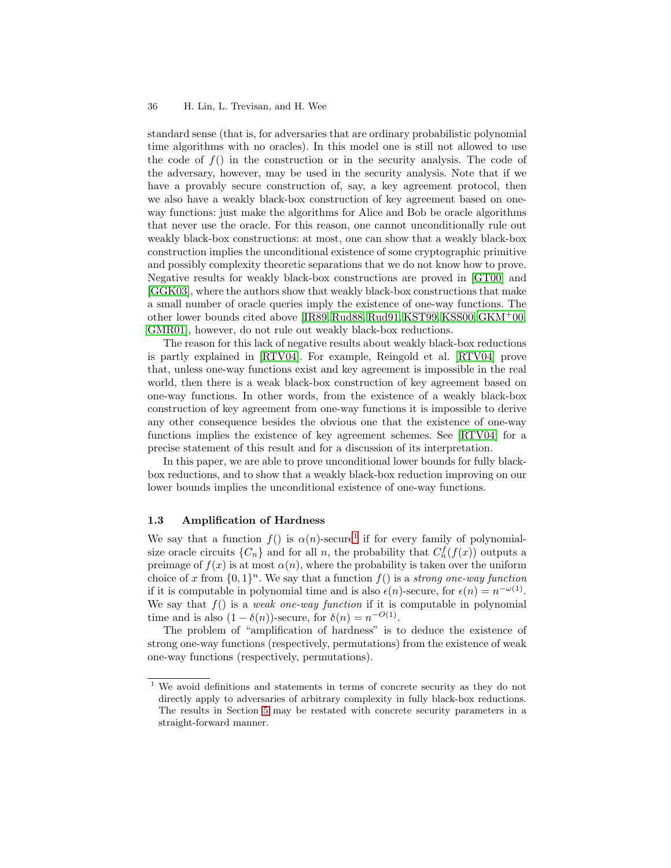standard sense (that is, for adversaries that are ordinary probabilistic polynomial time algorithms with no oracles). In this model one is still not allowed to use the code of  $f()$  in the construction or in the security analysis. The code of the adversary, however, may be used in the security analysis. Note that if we have a provably secure construction of, say, a key agreement protocol, then we also have a weakly black-box construction of key agreement based on oneway functions: just make the algorithms for Alice and Bob be oracle algorithms that never use the oracle. For this reason, one cannot unconditionally rule out weakly black-box constructions: at most, one can show that a weakly black-box construction implies the unconditional existence of some cryptographic primitive and possibly complexity theoretic separations that we do not know how to prove. Negative results for weakly black-box constructions are proved in [\[GT00\]](#page-14-0) and [\[GGK03\]](#page-14-0), where the authors show that weakly black-box constructions that make a small number of oracle queries imply the existence of one-way functions. The other lower bounds cited above [\[IR89,](#page-14-0) [Rud88, Rud91, KST99,](#page-15-0) [KSS00, GKM](#page-14-0)<sup>+</sup>00, [GMR01\]](#page-14-0), however, do not rule out weakly black-box reductions.

The reason for this lack of negative results about weakly black-box reductions is partly explained in [\[RTV04\]](#page-15-0). For example, Reingold et al. [\[RTV04\]](#page-15-0) prove that, unless one-way functions exist and key agreement is impossible in the real world, then there is a weak black-box construction of key agreement based on one-way functions. In other words, from the existence of a weakly black-box construction of key agreement from one-way functions it is impossible to derive any other consequence besides the obvious one that the existence of one-way functions implies the existence of key agreement schemes. See [\[RTV04\]](#page-15-0) for a precise statement of this result and for a discussion of its interpretation.

In this paper, we are able to prove unconditional lower bounds for fully blackbox reductions, and to show that a weakly black-box reduction improving on our lower bounds implies the unconditional existence of one-way functions.

#### **1.3 Amplification of Hardness**

We say that a function  $f()$  is  $\alpha(n)$ -secure<sup>1</sup> if for every family of polynomialsize oracle circuits  $\{C_n\}$  and for all n, the probability that  $C_n^f(f(x))$  outputs a preimage of  $f(x)$  is at most  $\alpha(n)$ , where the probability is taken over the uniform choice of x from  $\{0,1\}^n$ . We say that a function  $f()$  is a *strong one-way function* if it is computable in polynomial time and is also  $\epsilon(n)$ -secure, for  $\epsilon(n) = n^{-\omega(1)}$ . We say that f() is a *weak one-way function* if it is computable in polynomial time and is also  $(1 - \delta(n))$ -secure, for  $\delta(n) = n^{-O(1)}$ .

The problem of "amplification of hardness" is to deduce the existence of strong one-way functions (respectively, permutations) from the existence of weak one-way functions (respectively, permutations).

<sup>1</sup> We avoid definitions and statements in terms of concrete security as they do not directly apply to adversaries of arbitrary complexity in fully black-box reductions. The results in Section [5](#page-11-0) may be restated with concrete security parameters in a straight-forward manner.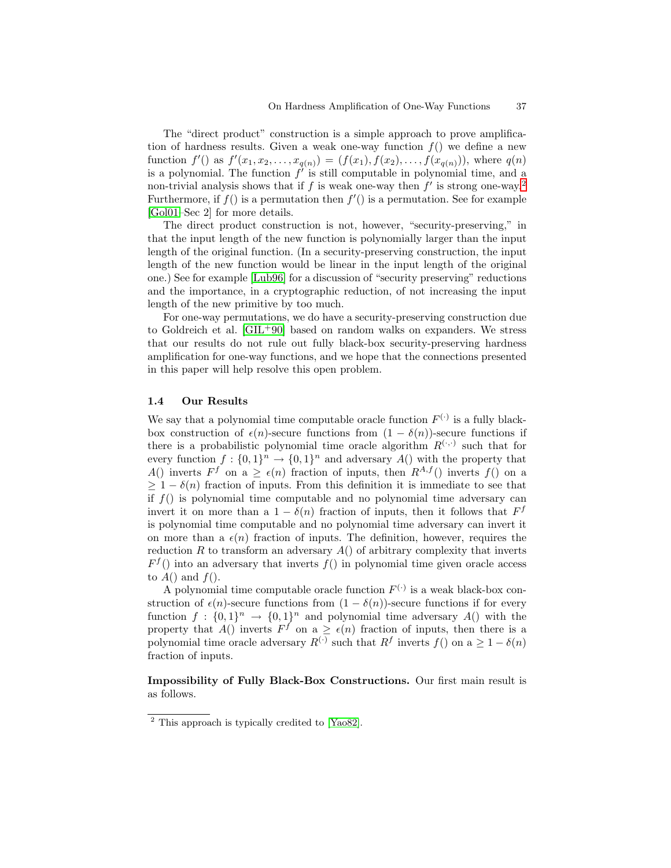<span id="page-3-0"></span>The "direct product" construction is a simple approach to prove amplification of hardness results. Given a weak one-way function  $f()$  we define a new function  $f'(x_1, x_2,...,x_{q(n)}) = (f(x_1), f(x_2),..., f(x_{q(n)}))$ , where  $q(n)$ is a polynomial. The function  $f'$  is still computable in polynomial time, and a non-trivial analysis shows that if f is weak one-way then  $f'$  is strong one-way.<sup>2</sup> Furthermore, if  $f()$  is a permutation then  $f'()$  is a permutation. See for example [\[Gol01–](#page-14-0)Sec 2] for more details.

The direct product construction is not, however, "security-preserving," in that the input length of the new function is polynomially larger than the input length of the original function. (In a security-preserving construction, the input length of the new function would be linear in the input length of the original one.) See for example [\[Lub96\]](#page-15-0) for a discussion of "security preserving" reductions and the importance, in a cryptographic reduction, of not increasing the input length of the new primitive by too much.

For one-way permutations, we do have a security-preserving construction due to Goldreich et al. [\[GIL](#page-14-0)<sup>+</sup>90] based on random walks on expanders. We stress that our results do not rule out fully black-box security-preserving hardness amplification for one-way functions, and we hope that the connections presented in this paper will help resolve this open problem.

#### **1.4 Our Results**

We say that a polynomial time computable oracle function  $F^{(\cdot)}$  is a fully blackbox construction of  $\epsilon(n)$ -secure functions from  $(1 - \delta(n))$ -secure functions if there is a probabilistic polynomial time oracle algorithm  $R^{(\cdot,\cdot)}$  such that for every function  $f: \{0,1\}^n \to \{0,1\}^n$  and adversary  $A()$  with the property that A() inverts  $F^f$  on  $a \geq \epsilon(n)$  fraction of inputs, then  $R^{A,f}$  () inverts  $f($ ) on a  $\geq 1 - \delta(n)$  fraction of inputs. From this definition it is immediate to see that if  $f()$  is polynomial time computable and no polynomial time adversary can invert it on more than a  $1 - \delta(n)$  fraction of inputs, then it follows that  $F<sup>f</sup>$ is polynomial time computable and no polynomial time adversary can invert it on more than a  $\epsilon(n)$  fraction of inputs. The definition, however, requires the reduction  $R$  to transform an adversary  $A()$  of arbitrary complexity that inverts  $F<sup>f</sup>$  () into an adversary that inverts  $f$  () in polynomial time given oracle access to  $A()$  and  $f()$ .

A polynomial time computable oracle function  $F^{(\cdot)}$  is a weak black-box construction of  $\epsilon(n)$ -secure functions from  $(1 - \delta(n))$ -secure functions if for every function  $f : \{0,1\}^n \to \{0,1\}^n$  and polynomial time adversary  $A()$  with the property that  $A()$  inverts  $F<sup>f</sup>$  on  $a \geq \epsilon(n)$  fraction of inputs, then there is a polynomial time oracle adversary  $R^{(\cdot)}$  such that  $R^f$  inverts  $f()$  on  $a \geq 1 - \delta(n)$ fraction of inputs.

**Impossibility of Fully Black-Box Constructions.** Our first main result is as follows.

<sup>2</sup> This approach is typically credited to [\[Yao82\]](#page-15-0).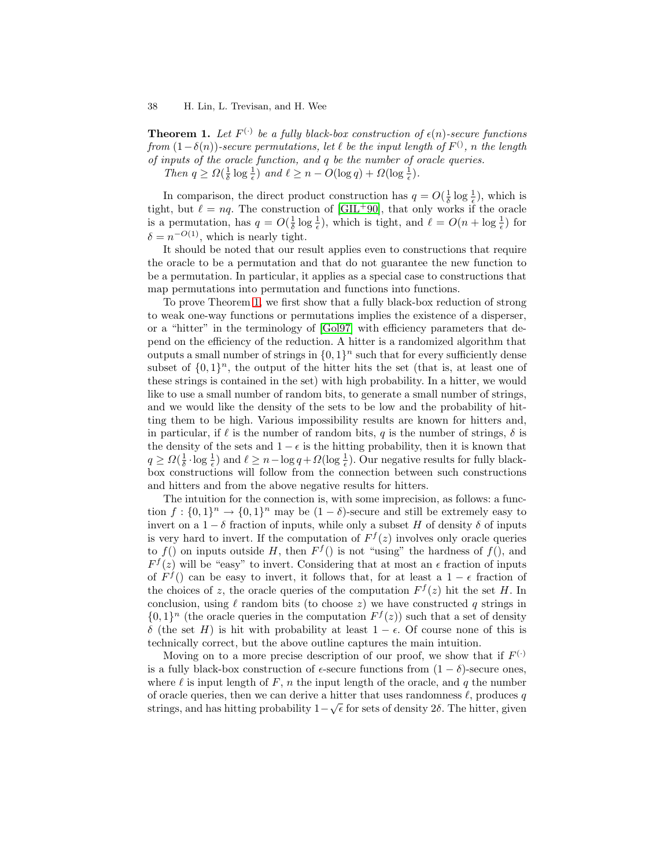#### 38 H. Lin, L. Trevisan, and H. Wee

**Theorem 1.** Let  $F^{(\cdot)}$  be a fully black-box construction of  $\epsilon(n)$ -secure functions *from*  $(1 - \delta(n))$ -secure permutations, let  $\ell$  be the input length of  $F^{()}$ , n the length *of inputs of the oracle function, and* q *be the number of oracle queries. Then*  $q \ge \Omega(\frac{1}{\delta} \log \frac{1}{\epsilon})$  *and*  $\ell \ge n - O(\log q) + \Omega(\log \frac{1}{\epsilon})$ *.* 

In comparison, the direct product construction has  $q = O(\frac{1}{\delta} \log \frac{1}{\epsilon})$ , which is tight, but  $\ell = nq$ . The construction of [\[GIL](#page-14-0)+90], that only works if the oracle is a permutation, has  $q = O(\frac{1}{\delta} \log \frac{1}{\epsilon})$ , which is tight, and  $\ell = O(n + \log \frac{1}{\epsilon})$  for  $\delta = n^{-O(1)}$ , which is nearly tight.

It should be noted that our result applies even to constructions that require the oracle to be a permutation and that do not guarantee the new function to be a permutation. In particular, it applies as a special case to constructions that map permutations into permutation and functions into functions.

To prove Theorem [1,](#page-3-0) we first show that a fully black-box reduction of strong to weak one-way functions or permutations implies the existence of a disperser, or a "hitter" in the terminology of [\[Gol97\]](#page-14-0) with efficiency parameters that depend on the efficiency of the reduction. A hitter is a randomized algorithm that outputs a small number of strings in  $\{0,1\}^n$  such that for every sufficiently dense subset of  $\{0,1\}^n$ , the output of the hitter hits the set (that is, at least one of these strings is contained in the set) with high probability. In a hitter, we would like to use a small number of random bits, to generate a small number of strings, and we would like the density of the sets to be low and the probability of hitting them to be high. Various impossibility results are known for hitters and, in particular, if  $\ell$  is the number of random bits, q is the number of strings,  $\delta$  is the density of the sets and  $1 - \epsilon$  is the hitting probability, then it is known that  $q \geq \Omega(\frac{1}{\delta} \cdot \log \frac{1}{\epsilon})$  and  $\ell \geq n - \log q + \Omega(\log \frac{1}{\epsilon})$ . Our negative results for fully blackbox constructions will follow from the connection between such constructions and hitters and from the above negative results for hitters.

The intuition for the connection is, with some imprecision, as follows: a function  $f: \{0,1\}^n \to \{0,1\}^n$  may be  $(1 - \delta)$ -secure and still be extremely easy to invert on a  $1 - \delta$  fraction of inputs, while only a subset H of density  $\delta$  of inputs is very hard to invert. If the computation of  $F<sup>f</sup>(z)$  involves only oracle queries to  $f()$  on inputs outside H, then  $F<sup>f</sup>()$  is not "using" the hardness of  $f()$ , and  $F<sup>f</sup>(z)$  will be "easy" to invert. Considering that at most an  $\epsilon$  fraction of inputs of  $F<sup>f</sup>()$  can be easy to invert, it follows that, for at least a  $1 - \epsilon$  fraction of the choices of z, the oracle queries of the computation  $F<sup>f</sup>(z)$  hit the set H. In conclusion, using  $\ell$  random bits (to choose z) we have constructed q strings in  $\{0,1\}^n$  (the oracle queries in the computation  $F<sup>f</sup>(z)$ ) such that a set of density δ (the set H) is hit with probability at least  $1 - \epsilon$ . Of course none of this is technically correct, but the above outline captures the main intuition.

Moving on to a more precise description of our proof, we show that if  $F^{(\cdot)}$ is a fully black-box construction of  $\epsilon$ -secure functions from  $(1 - \delta)$ -secure ones, where  $\ell$  is input length of F, n the input length of the oracle, and q the number of oracle queries, then we can derive a hitter that uses randomness  $\ell$ , produces q strings, and has hitting probability  $1 - \sqrt{\epsilon}$  for sets of density  $2\delta$ . The hitter, given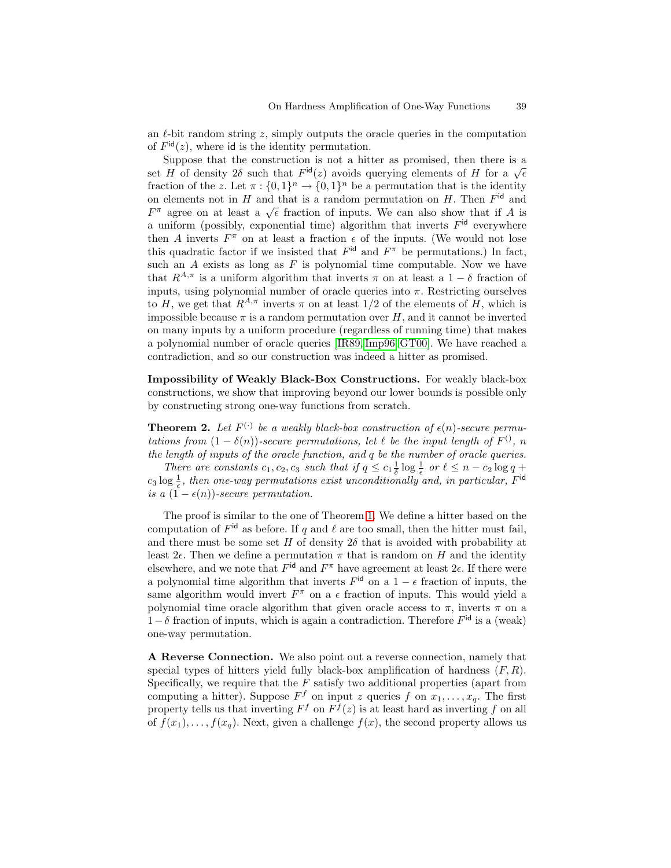<span id="page-5-0"></span>an  $\ell$ -bit random string z, simply outputs the oracle queries in the computation of  $F^{id}(z)$ , where id is the identity permutation.

Suppose that the construction is not a hitter as promised, then there is a suppose that the construction is not a intter as promised, then there is a<br>set H of density 2 $\delta$  such that  $F^{id}(z)$  avoids querying elements of H for a  $\sqrt{\epsilon}$ <br>fraction of the z. Let  $\pi : \{0,1\}^n \to \{0,1\}^n$  be a permut on elements not in  $H$  and that is a random permutation on  $H$ . Then  $F<sup>id</sup>$  and  $F^{\pi}$  agree on at least a  $\sqrt{\epsilon}$  fraction of inputs. We can also show that if A is a uniform (possibly, exponential time) algorithm that inverts  $F<sup>id</sup>$  everywhere then A inverts  $F^{\pi}$  on at least a fraction  $\epsilon$  of the inputs. (We would not lose this quadratic factor if we insisted that  $F<sup>id</sup>$  and  $F<sup>\pi</sup>$  be permutations.) In fact, such an  $A$  exists as long as  $F$  is polynomial time computable. Now we have that  $R^{A,\pi}$  is a uniform algorithm that inverts  $\pi$  on at least a  $1-\delta$  fraction of inputs, using polynomial number of oracle queries into  $\pi$ . Restricting ourselves to H, we get that  $R^{A,\pi}$  inverts  $\pi$  on at least 1/2 of the elements of H, which is impossible because  $\pi$  is a random permutation over H, and it cannot be inverted on many inputs by a uniform procedure (regardless of running time) that makes a polynomial number of oracle queries [\[IR89, Imp96, GT00\]](#page-14-0). We have reached a contradiction, and so our construction was indeed a hitter as promised.

**Impossibility of Weakly Black-Box Constructions.** For weakly black-box constructions, we show that improving beyond our lower bounds is possible only by constructing strong one-way functions from scratch.

**Theorem 2.** Let  $F^{(\cdot)}$  be a weakly black-box construction of  $\epsilon(n)$ -secure permu*tations from*  $(1 - \delta(n))$ *-secure permutations, let*  $\ell$  *be the input length of*  $F^{()}$ *, n the length of inputs of the oracle function, and* q *be the number of oracle queries.*

*There are constants*  $c_1, c_2, c_3$  *such that if*  $q \leq c_1 \frac{1}{\delta} \log \frac{1}{\epsilon}$  *or*  $\ell \leq n - c_2 \log q + c_1$  $c_3 \log \frac{1}{\epsilon}$ , then one-way permutations exist unconditionally and, in particular, F<sup>id</sup> *is a*  $(1 - \epsilon(n))$ *-secure permutation.* 

The proof is similar to the one of Theorem [1.](#page-3-0) We define a hitter based on the computation of  $F<sup>id</sup>$  as before. If q and  $\ell$  are too small, then the hitter must fail, and there must be some set  $H$  of density  $2\delta$  that is avoided with probability at least  $2\epsilon$ . Then we define a permutation  $\pi$  that is random on H and the identity elsewhere, and we note that  $F^{\text{id}}$  and  $F^{\pi}$  have agreement at least  $2\epsilon$ . If there were a polynomial time algorithm that inverts  $F^{\text{id}}$  on a  $1 - \epsilon$  fraction of inputs, the same algorithm would invert  $F^{\pi}$  on a  $\epsilon$  fraction of inputs. This would yield a polynomial time oracle algorithm that given oracle access to  $\pi$ , inverts  $\pi$  on a 1−δ fraction of inputs, which is again a contradiction. Therefore  $F<sup>id</sup>$  is a (weak) one-way permutation.

**A Reverse Connection.** We also point out a reverse connection, namely that special types of hitters yield fully black-box amplification of hardness  $(F, R)$ . Specifically, we require that the  $F$  satisfy two additional properties (apart from computing a hitter). Suppose  $F^f$  on input z queries f on  $x_1, \ldots, x_q$ . The first property tells us that inverting  $F<sup>f</sup>$  on  $F<sup>f</sup>(z)$  is at least hard as inverting f on all of  $f(x_1),...,f(x_q)$ . Next, given a challenge  $f(x)$ , the second property allows us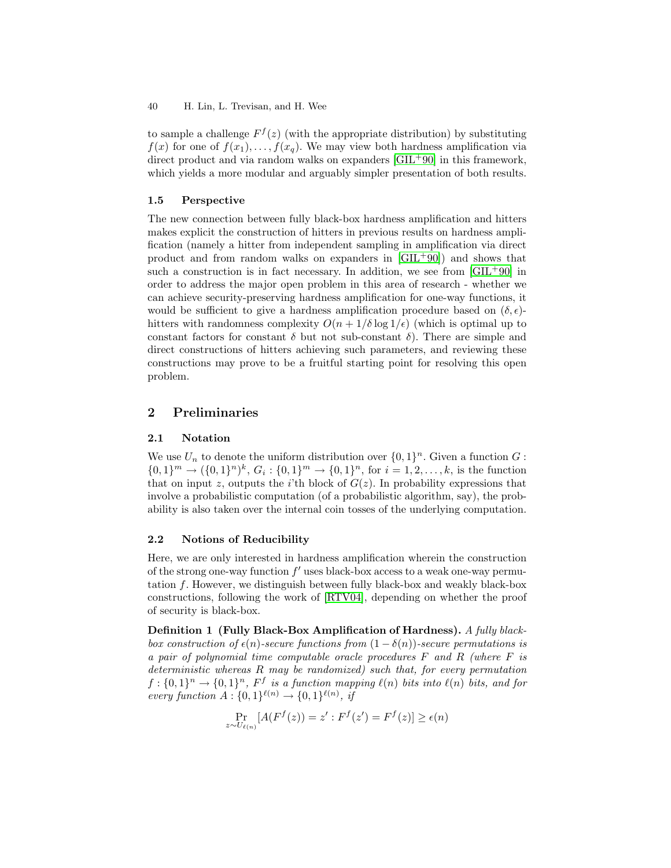to sample a challenge  $F<sup>f</sup>(z)$  (with the appropriate distribution) by substituting  $f(x)$  for one of  $f(x_1),\ldots,f(x_q)$ . We may view both hardness amplification via direct product and via random walks on expanders [\[GIL](#page-14-0)+90] in this framework, which yields a more modular and arguably simpler presentation of both results.

#### **1.5 Perspective**

The new connection between fully black-box hardness amplification and hitters makes explicit the construction of hitters in previous results on hardness amplification (namely a hitter from independent sampling in amplification via direct product and from random walks on expanders in  $\left[\text{GIL}^{+}90\right]$  and shows that such a construction is in fact necessary. In addition, we see from  $[GIL^+90]$  $[GIL^+90]$  in order to address the major open problem in this area of research - whether we can achieve security-preserving hardness amplification for one-way functions, it would be sufficient to give a hardness amplification procedure based on  $(\delta, \epsilon)$ hitters with randomness complexity  $O(n + 1/\delta \log 1/\epsilon)$  (which is optimal up to constant factors for constant  $\delta$  but not sub-constant  $\delta$ ). There are simple and direct constructions of hitters achieving such parameters, and reviewing these constructions may prove to be a fruitful starting point for resolving this open problem.

# **2 Preliminaries**

#### **2.1 Notation**

We use  $U_n$  to denote the uniform distribution over  $\{0,1\}^n$ . Given a function G:  ${0, 1}^m \rightarrow ({0, 1}^n)^k, G_i : {0, 1}^m \rightarrow {0, 1}^n,$  for  $i = 1, 2, ..., k$ , is the function that on input z, outputs the *i*'th block of  $G(z)$ . In probability expressions that involve a probabilistic computation (of a probabilistic algorithm, say), the probability is also taken over the internal coin tosses of the underlying computation.

#### **2.2 Notions of Reducibility**

Here, we are only interested in hardness amplification wherein the construction of the strong one-way function  $f'$  uses black-box access to a weak one-way permutation f. However, we distinguish between fully black-box and weakly black-box constructions, following the work of [\[RTV04\]](#page-15-0), depending on whether the proof of security is black-box.

**Definition 1 (Fully Black-Box Amplification of Hardness).** *A fully blackbox construction of*  $\epsilon(n)$ *-secure functions from*  $(1 - \delta(n))$ *-secure permutations is a pair of polynomial time computable oracle procedures* F *and* R *(where* F *is deterministic whereas* R *may be randomized) such that, for every permutation*  $f: \{0,1\}^n \to \{0,1\}^n$ ,  $F^f$  *is a function mapping*  $\ell(n)$  *bits into*  $\ell(n)$  *bits, and for every function*  $A: \{0,1\}^{\ell(n)} \to \{0,1\}^{\ell(n)}$ , *if* 

$$
\Pr_{z \sim U_{\ell(n)}}[A(F^f(z)) = z' : F^f(z') = F^f(z)] \ge \epsilon(n)
$$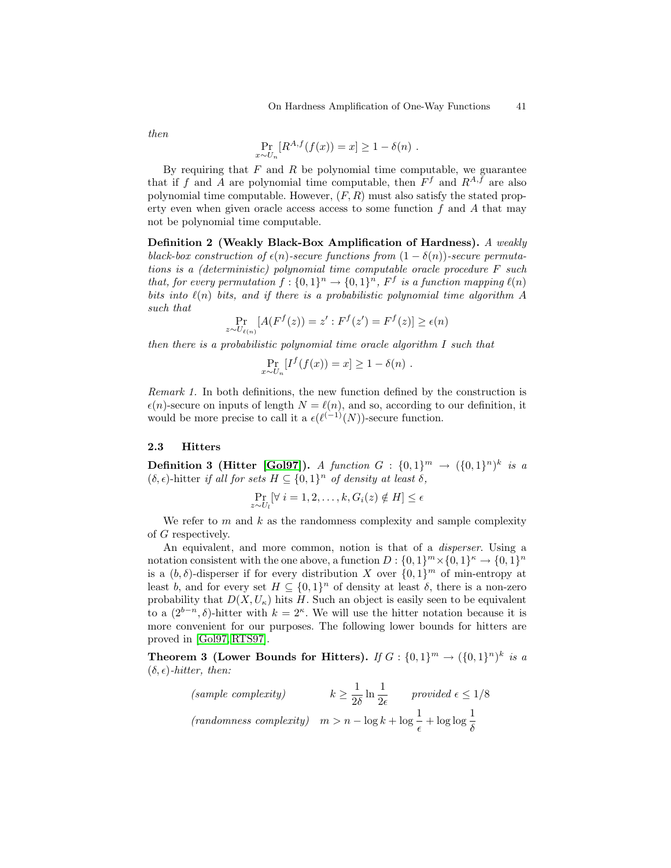<span id="page-7-0"></span>*then*

$$
\Pr_{x \sim U_n} [R^{A,f}(f(x)) = x] \ge 1 - \delta(n) .
$$

By requiring that  $F$  and  $R$  be polynomial time computable, we guarantee that if f and A are polynomial time computable, then  $F<sup>f</sup>$  and  $R<sup>A,f</sup>$  are also polynomial time computable. However,  $(F, R)$  must also satisfy the stated property even when given oracle access access to some function  $f$  and  $\tilde{A}$  that may not be polynomial time computable.

**Definition 2 (Weakly Black-Box Amplification of Hardness).** *A weakly black-box construction of*  $\epsilon(n)$ -secure functions from  $(1 - \delta(n))$ -secure permuta*tions is a (deterministic) polynomial time computable oracle procedure* F *such that, for every permutation*  $f: \{0,1\}^n \to \{0,1\}^n$ ,  $F^f$  *is a function mapping*  $\ell(n)$ *bits into*  $\ell(n)$  *bits, and if there is a probabilistic polynomial time algorithm* A *such that*

$$
\Pr_{z \sim U_{\ell(n)}}[A(F^f(z)) = z' : F^f(z') = F^f(z)] \ge \epsilon(n)
$$

*then there is a probabilistic polynomial time oracle algorithm* I *such that*

$$
\Pr_{x \sim U_n}[I^f(f(x)) = x] \ge 1 - \delta(n) .
$$

*Remark 1.* In both definitions, the new function defined by the construction is  $\epsilon(n)$ -secure on inputs of length  $N = \ell(n)$ , and so, according to our definition, it would be more precise to call it a  $\epsilon(\ell^{(-1)}(N))$ -secure function.

## **2.3 Hitters**

**Definition 3 (Hitter [\[Gol97\]](#page-14-0)).** *A function*  $G : \{0,1\}^m \to (\{0,1\}^n)^k$  *is a*  $(\delta, \epsilon)$ -hitter *if all for sets*  $H \subseteq \{0, 1\}^n$  *of density at least*  $\delta$ *,* 

$$
\Pr_{z \sim U_l} [\forall i = 1, 2, \dots, k, G_i(z) \notin H] \le \epsilon
$$

We refer to  $m$  and  $k$  as the randomness complexity and sample complexity of G respectively.

An equivalent, and more common, notion is that of a *disperser*. Using a notation consistent with the one above, a function  $D: \{0,1\}^m \times \{0,1\}^n \rightarrow \{0,1\}^n$ is a  $(b, \delta)$ -disperser if for every distribution X over  $\{0, 1\}^m$  of min-entropy at least b, and for every set  $H \subseteq \{0,1\}^n$  of density at least  $\delta$ , there is a non-zero probability that  $D(X, U_{\kappa})$  hits H. Such an object is easily seen to be equivalent to a  $(2^{b-n}, \delta)$ -hitter with  $k = 2^{\kappa}$ . We will use the hitter notation because it is more convenient for our purposes. The following lower bounds for hitters are proved in [\[Gol97,](#page-14-0) [RTS97\]](#page-15-0).

**Theorem 3 (Lower Bounds for Hitters).** *If*  $G : \{0,1\}^m \rightarrow (\{0,1\}^n)^k$  *is a*  $(\delta, \epsilon)$ -hitter, then:

$$
(sample\ complexity) \qquad k \ge \frac{1}{2\delta} \ln \frac{1}{2\epsilon} \qquad provided \ \epsilon \le 1/8
$$
\n
$$
(randomness\ complexity) \quad m > n - \log k + \log \frac{1}{\epsilon} + \log \log \frac{1}{\delta}
$$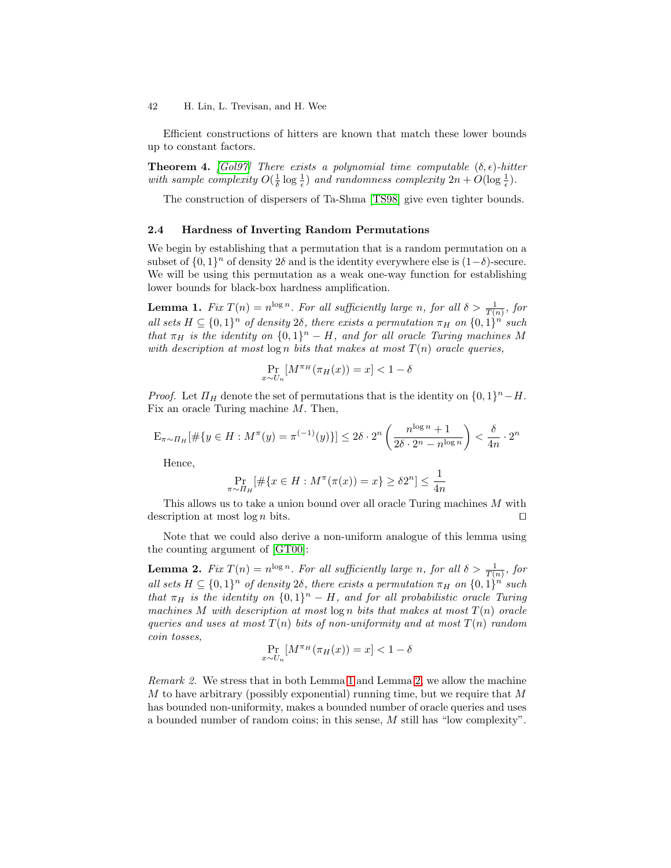#### <span id="page-8-0"></span>42 H. Lin, L. Trevisan, and H. Wee

Efficient constructions of hitters are known that match these lower bounds up to constant factors.

**Theorem 4.** [\[Gol97\]](#page-14-0) There exists a polynomial time computable  $(\delta, \epsilon)$ -hitter with sample complexity  $O(\frac{1}{\delta} \log \frac{1}{\epsilon})$  and randomness complexity  $2n + O(\log \frac{1}{\epsilon})$ .

The construction of dispersers of Ta-Shma [\[TS98\]](#page-15-0) give even tighter bounds.

#### **2.4 Hardness of Inverting Random Permutations**

We begin by establishing that a permutation that is a random permutation on a subset of  $\{0, 1\}^n$  of density  $2\delta$  and is the identity everywhere else is  $(1-\delta)$ -secure. We will be using this permutation as a weak one-way function for establishing lower bounds for black-box hardness amplification.

**Lemma 1.** *Fix*  $T(n) = n^{\log n}$ *. For all sufficiently large n, for all*  $\delta > \frac{1}{T(n)}$ *, for all sets*  $H \subseteq \{0,1\}^n$  *of density* 2*δ, there exists a permutation*  $\pi_H$  *on*  $\{0,1\}^n$  *such that*  $\pi_H$  *is the identity on*  $\{0,1\}^n - H$ *, and for all oracle Turing machines* M *with description at most* log n *bits that makes at most* T(n) *oracle queries,*

$$
\Pr_{x \sim U_n} [M^{\pi_H}(\pi_H(x)) = x] < 1 - \delta
$$

*Proof.* Let  $\Pi_H$  denote the set of permutations that is the identity on  $\{0,1\}^n - H$ . Fix an oracle Turing machine M. Then,

$$
\mathcal{E}_{\pi \sim \Pi_H}[\#\{y \in H : M^\pi(y) = \pi^{(-1)}(y)\}] \le 2\delta \cdot 2^n \left(\frac{n^{\log n} + 1}{2\delta \cdot 2^n - n^{\log n}}\right) < \frac{\delta}{4n} \cdot 2^n
$$

Hence,

$$
\Pr_{\pi \sim \Pi_H} [\# \{ x \in H : M^\pi(\pi(x)) = x \} \ge \delta 2^n] \le \frac{1}{4n}
$$

This allows us to take a union bound over all oracle Turing machines M with description at most log *n* bits.  $\square$ 

Note that we could also derive a non-uniform analogue of this lemma using the counting argument of [\[GT00\]](#page-14-0):

**Lemma 2.** *Fix*  $T(n) = n^{\log n}$ *. For all sufficiently large n, for all*  $\delta > \frac{1}{T(n)}$ *, for all sets*  $H \subseteq \{0,1\}^n$  *of density* 2*δ, there exists a permutation*  $\pi_H$  *on*  $\{0,1\}^n$  *such that*  $\pi_H$  *is the identity on*  $\{0,1\}^n - H$ *, and for all probabilistic oracle Turing machines* M with description at most  $\log n$  bits that makes at most  $T(n)$  oracle *queries and uses at most*  $T(n)$  *bits of non-uniformity and at most*  $T(n)$  *random coin tosses,*

$$
\Pr_{x \sim U_n}[M^{\pi_H}(\pi_H(x)) = x] < 1 - \delta
$$

*Remark 2.* We stress that in both Lemma 1 and Lemma 2, we allow the machine M to have arbitrary (possibly exponential) running time, but we require that  $M$ has bounded non-uniformity, makes a bounded number of oracle queries and uses a bounded number of random coins; in this sense, M still has "low complexity".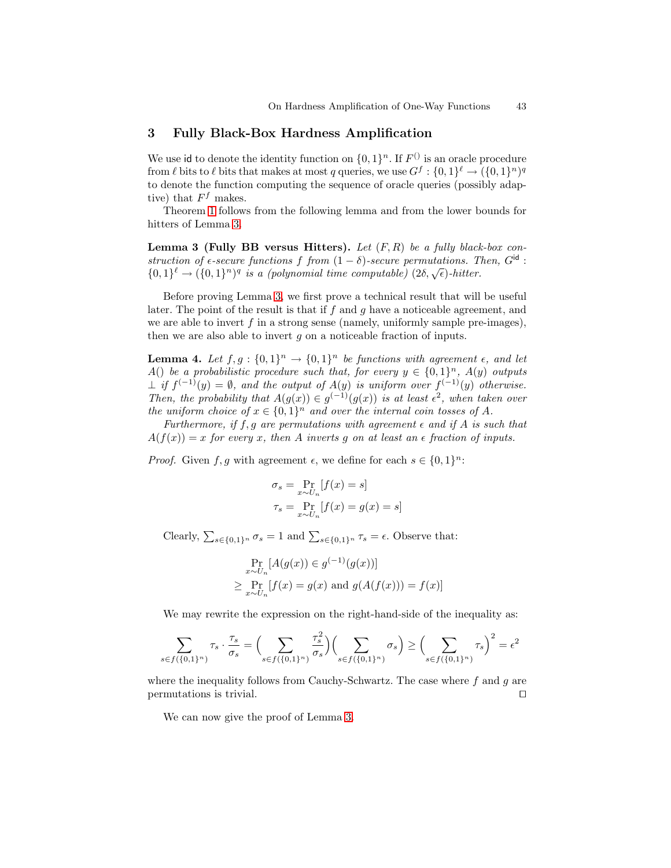## <span id="page-9-0"></span>**3 Fully Black-Box Hardness Amplification**

We use id to denote the identity function on  $\{0, 1\}^n$ . If  $F^{()}$  is an oracle procedure from  $\ell$  bits to  $\ell$  bits that makes at most q queries, we use  $G^f: \{0,1\}^{\ell} \to (\{0,1\}^n)^q$ to denote the function computing the sequence of oracle queries (possibly adaptive) that  $F^f$  makes.

Theorem [1](#page-3-0) follows from the following lemma and from the lower bounds for hitters of Lemma [3.](#page-7-0)

**Lemma 3 (Fully BB versus Hitters).** *Let* (F, R) *be a fully black-box con* $struction$  of  $\epsilon$ -secure functions f from  $(1 - \delta)$ -secure permutations. Then,  $G^{id}$ :  ${0,1}^{\ell} \rightarrow ({0,1}^n)^q$  *is a (polynomial time computable)*  $(2\delta,\sqrt{\epsilon})$ -hitter.

Before proving Lemma 3, we first prove a technical result that will be useful later. The point of the result is that if  $f$  and  $q$  have a noticeable agreement, and we are able to invert  $f$  in a strong sense (namely, uniformly sample pre-images), then we are also able to invert  $g$  on a noticeable fraction of inputs.

**Lemma 4.** Let  $f, g: \{0, 1\}^n \to \{0, 1\}^n$  be functions with agreement  $\epsilon$ , and let A() *be a probabilistic procedure such that, for every*  $y \in \{0,1\}^n$ ,  $A(y)$  *outputs*  $\perp$  *if*  $f^{(-1)}(y) = \emptyset$ *, and the output of*  $A(y)$  *is uniform over*  $f^{(-1)}(y)$  *otherwise. Then, the probability that*  $A(g(x)) \in g^{(-1)}(g(x))$  *is at least*  $\epsilon^2$ *, when taken over the uniform choice of*  $x \in \{0,1\}^n$  *and over the internal coin tosses of* A.

 $Furthermore, if f, g are permutations with agreement \epsilon and if A is such that$  $A(f(x)) = x$  for every x, then A inverts g on at least an  $\epsilon$  fraction of inputs.

*Proof.* Given  $f, g$  with agreement  $\epsilon$ , we define for each  $s \in \{0, 1\}^n$ :

$$
\sigma_s = \Pr_{x \sim U_n} [f(x) = s]
$$

$$
\tau_s = \Pr_{x \sim U_n} [f(x) = g(x) = s]
$$

Clearly,  $\sum_{s \in \{0,1\}^n} \sigma_s = 1$  and  $\sum_{s \in \{0,1\}^n} \tau_s = \epsilon$ . Observe that:

$$
\Pr_{x \sim U_n} [A(g(x)) \in g^{(-1)}(g(x))]
$$
\n
$$
\geq \Pr_{x \sim U_n} [f(x) = g(x) \text{ and } g(A(f(x))) = f(x)]
$$

We may rewrite the expression on the right-hand-side of the inequality as:

$$
\sum_{s \in f(\{0,1\}^n)} \tau_s \cdot \frac{\tau_s}{\sigma_s} = \left(\sum_{s \in f(\{0,1\}^n)} \frac{\tau_s^2}{\sigma_s}\right) \left(\sum_{s \in f(\{0,1\}^n)} \sigma_s\right) \ge \left(\sum_{s \in f(\{0,1\}^n)} \tau_s\right)^2 = \epsilon^2
$$

where the inequality follows from Cauchy-Schwartz. The case where  $f$  and  $g$  are permutations is trivial. 

We can now give the proof of Lemma 3.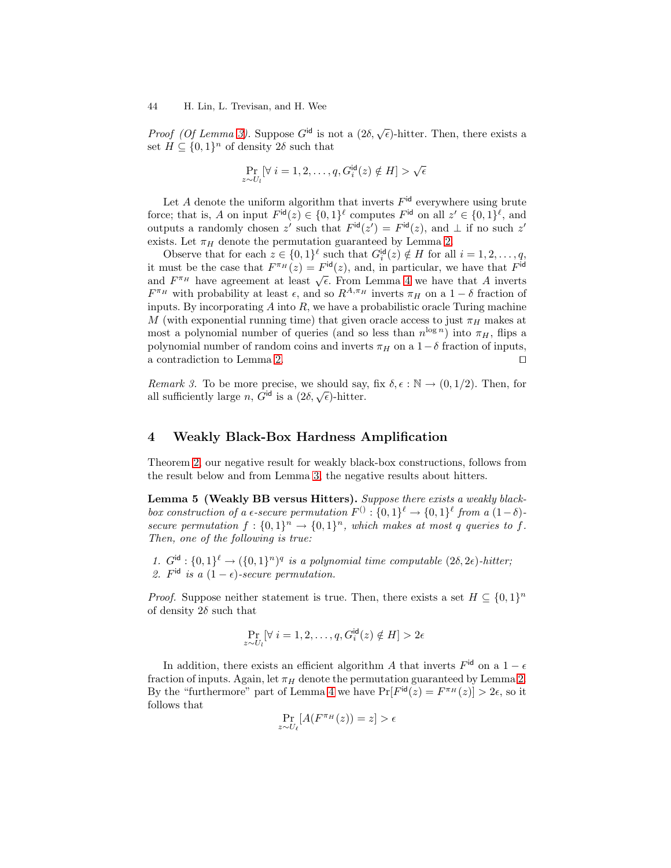#### <span id="page-10-0"></span>44 H. Lin, L. Trevisan, and H. Wee

*Proof (Of Lemma [3\)](#page-9-0).* Suppose  $G^{id}$  is not a  $(2\delta, \sqrt{\epsilon})$ -hitter. Then, there exists a set  $H \subseteq \{0,1\}^n$  of density  $2\delta$  such that

$$
\Pr_{z \sim U_l} [\forall i = 1, 2, \dots, q, G_i^{\text{id}}(z) \notin H] > \sqrt{\epsilon}
$$

Let A denote the uniform algorithm that inverts  $F<sup>id</sup>$  everywhere using brute force; that is, A on input  $F^{\text{id}}(z) \in \{0,1\}^{\ell}$  computes  $F^{\text{id}}$  on all  $z' \in \{0,1\}^{\ell}$ , and outputs a randomly chosen z' such that  $F^{id}(z') = F^{id}(z)$ , and  $\perp$  if no such z' exists. Let  $\pi_H$  denote the permutation guaranteed by Lemma [2.](#page-8-0)

Observe that for each  $z \in \{0,1\}^{\ell}$  such that  $G_i^{\mathsf{id}}(z) \notin H$  for all  $i = 1, 2, \ldots, q$ , it must be the case that  $F^{\pi_H}(z) = F^{\text{id}}(z)$ , and, in particular, we have that  $F^{\text{id}}$ and  $F^{\pi_H}$  have agreement at least  $\sqrt{\epsilon}$ . From Lemma [4](#page-9-0) we have that A inverts  $F^{\pi_H}$  with probability at least  $\epsilon$ , and so  $R^{A,\pi_H}$  inverts  $\pi_H$  on a  $1-\delta$  fraction of inputs. By incorporating  $A$  into  $R$ , we have a probabilistic oracle Turing machine M (with exponential running time) that given oracle access to just  $\pi_H$  makes at most a polynomial number of queries (and so less than  $n^{\log n}$ ) into  $\pi_H$ , flips a polynomial number of random coins and inverts  $\pi_H$  on a 1 –  $\delta$  fraction of inputs, a contradiction to Lemma [2.](#page-8-0) 

*Remark 3.* To be more precise, we should say, fix  $\delta$ ,  $\epsilon : \mathbb{N} \to (0, 1/2)$ . Then, for all sufficiently large n,  $G^{id}$  is a  $(2\delta, \sqrt{\epsilon})$ -hitter.

# **4 Weakly Black-Box Hardness Amplification**

Theorem [2,](#page-5-0) our negative result for weakly black-box constructions, follows from the result below and from Lemma [3,](#page-7-0) the negative results about hitters.

**Lemma 5 (Weakly BB versus Hitters).** *Suppose there exists a weakly blackbox construction of a*  $\epsilon$ -secure permutation  $F^{()}: \{0,1\}^{\ell} \to \{0,1\}^{\ell}$  from a  $(1-\delta)$ *secure permutation*  $f : \{0,1\}^n \to \{0,1\}^n$ , which makes at most q queries to f. *Then, one of the following is true:*

*1.*  $G^{id}: \{0,1\}^{\ell} \rightarrow (\{0,1\}^n)^q$  *is a polynomial time computable*  $(2\delta, 2\epsilon)$ -hitter; 2.  $F^{\text{id}}$  *is a*  $(1 - \epsilon)$ -secure permutation.

*Proof.* Suppose neither statement is true. Then, there exists a set  $H \subseteq \{0,1\}^n$ of density  $2\delta$  such that

$$
\Pr_{z \sim U_l} [\forall i = 1, 2, \dots, q, G_i^{\text{id}}(z) \notin H] > 2\epsilon
$$

In addition, there exists an efficient algorithm A that inverts  $F^{\text{id}}$  on a  $1 - \epsilon$ fraction of inputs. Again, let  $\pi_H$  denote the permutation guaranteed by Lemma [2.](#page-8-0) By the "furthermore" part of Lemma [4](#page-9-0) we have  $Pr[F^{id}(z) = F^{\pi_H}(z)] > 2\epsilon$ , so it follows that

$$
\Pr_{z \sim U_{\ell}}[A(F^{\pi_H}(z)) = z] > \epsilon
$$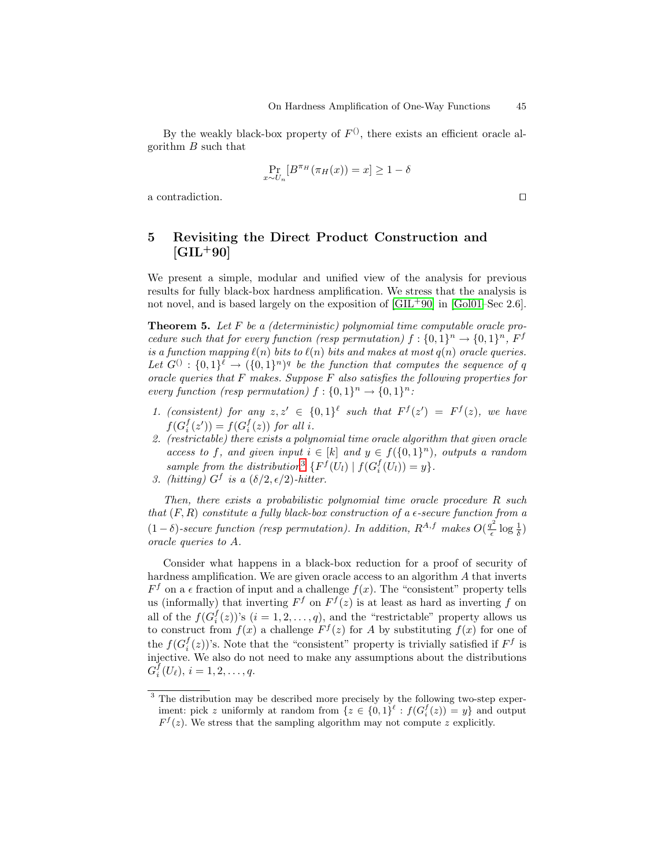<span id="page-11-0"></span>By the weakly black-box property of  $F^{()}$ , there exists an efficient oracle algorithm  $B$  such that

$$
\Pr_{x \sim U_n}[B^{\pi_H}(\pi_H(x)) = x] \ge 1 - \delta
$$

a contradiction. 

# **5 Revisiting the Direct Product Construction and [GIL<sup>+</sup>90]**

We present a simple, modular and unified view of the analysis for previous results for fully black-box hardness amplification. We stress that the analysis is not novel, and is based largely on the exposition of  $[GIL^{+}90]$  $[GIL^{+}90]$  in  $[Gol01–Sec 2.6]$  $[Gol01–Sec 2.6]$ .

**Theorem 5.** *Let* F *be a (deterministic) polynomial time computable oracle procedure such that for every function (resp permutation)*  $f: \{0,1\}^n \rightarrow \{0,1\}^n$ ,  $F^f$ *is a function mapping*  $\ell(n)$  *bits to*  $\ell(n)$  *bits and makes at most*  $q(n)$  *oracle queries.* Let  $G^{()}: \{0,1\}^{\ell} \rightarrow (\{0,1\}^n)^q$  be the function that computes the sequence of q *oracle queries that* F *makes. Suppose* F *also satisfies the following properties for every function (resp permutation)*  $f: \{0, 1\}^n \rightarrow \{0, 1\}^n$ :

- 1. (consistent) for any  $z, z' \in \{0,1\}^{\ell}$  such that  $F^f(z') = F^f(z)$ , we have  $f(G_i^f(z')) = f(G_i^f(z))$  for all *i*.
- *2. (restrictable) there exists a polynomial time oracle algorithm that given oracle access to* f, and given input  $i \in [k]$  and  $y \in f(\{0,1\}^n)$ , outputs a random sample from the distribution<sup>3</sup>  $\{F^f(U_l) | f(G_i^f(U_l)) = y\}.$
- 3. (hitting)  $G^f$  is a  $(\delta/2, \epsilon/2)$ -hitter.

*Then, there exists a probabilistic polynomial time oracle procedure* R *such that*  $(F, R)$  *constitute a fully black-box construction of a*  $\epsilon$ *-secure function from a*  $(1 - \delta)$ -secure function (resp permutation). In addition,  $R^{A,f}$  makes  $O(\frac{q^2}{\epsilon} \log \frac{1}{\delta})$ *oracle queries to* A*.*

Consider what happens in a black-box reduction for a proof of security of hardness amplification. We are given oracle access to an algorithm A that inverts  $F<sup>f</sup>$  on a  $\epsilon$  fraction of input and a challenge  $f(x)$ . The "consistent" property tells us (informally) that inverting  $F^f$  on  $F^f(z)$  is at least as hard as inverting f on all of the  $f(G_i^f(z))$ 's  $(i = 1, 2, ..., q)$ , and the "restrictable" property allows us to construct from  $f(x)$  a challenge  $F<sup>f</sup>(z)$  for A by substituting  $f(x)$  for one of the  $f(G_i^f(z))$ 's. Note that the "consistent" property is trivially satisfied if  $F^f$  is injective. We also do not need to make any assumptions about the distributions  $G_i^f(U_\ell), i = 1, 2, \ldots, q.$ 

<sup>&</sup>lt;sup>3</sup> The distribution may be described more precisely by the following two-step experiment: pick z uniformly at random from  $\{z \in \{0,1\}^{\ell} : f(G_i^f(z)) = y\}$  and output  $F<sup>f</sup>(z)$ . We stress that the sampling algorithm may not compute z explicitly.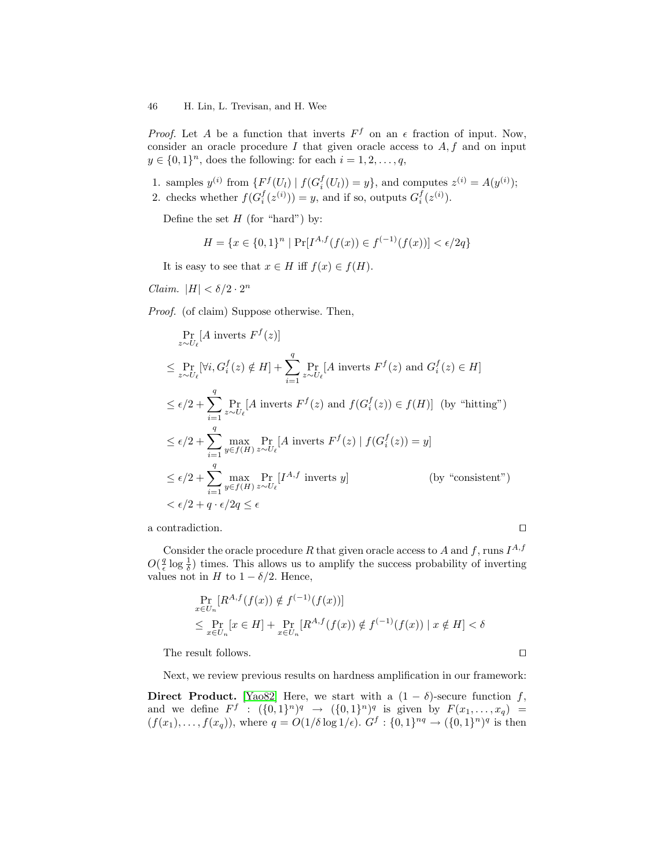*Proof.* Let A be a function that inverts  $F^f$  on an  $\epsilon$  fraction of input. Now, consider an oracle procedure  $I$  that given oracle access to  $A, f$  and on input  $y \in \{0,1\}^n$ , does the following: for each  $i = 1, 2, \ldots, q$ ,

1. samples  $y^{(i)}$  from  $\{F^f(U_l) | f(G^f_i(U_l)) = y\}$ , and computes  $z^{(i)} = A(y^{(i)})$ ; 2. checks whether  $f(G_i^f(z^{(i)})) = y$ , and if so, outputs  $G_i^f(z^{(i)})$ .

Define the set  $H$  (for "hard") by:

$$
H = \{ x \in \{0, 1\}^n \mid \Pr[I^{A, f}(f(x)) \in f^{(-1)}(f(x))] < \epsilon/2q \}
$$

It is easy to see that  $x \in H$  iff  $f(x) \in f(H)$ .

*Claim.*  $|H| < \delta/2 \cdot 2^n$ 

*Proof.* (of claim) Suppose otherwise. Then,

$$
\Pr_{z \sim U_{\ell}}[A \text{ inverts } F^f(z)]
$$
\n
$$
\leq \Pr_{z \sim U_{\ell}}[\forall i, G_i^f(z) \notin H] + \sum_{i=1}^q \Pr_{z \sim U_{\ell}}[A \text{ inverts } F^f(z) \text{ and } G_i^f(z) \in H]
$$
\n
$$
\leq \epsilon/2 + \sum_{i=1}^q \Pr_{z \sim U_{\ell}}[A \text{ inverts } F^f(z) \text{ and } f(G_i^f(z)) \in f(H)] \text{ (by "hitting")}
$$
\n
$$
\leq \epsilon/2 + \sum_{i=1}^q \max_{y \in f(H)} \Pr_{z \sim U_{\ell}}[A \text{ inverts } F^f(z) \mid f(G_i^f(z)) = y]
$$
\n
$$
\leq \epsilon/2 + \sum_{i=1}^q \max_{y \in f(H)} \Pr_{z \sim U_{\ell}}[I^{A,f} \text{ inverts } y] \text{ (by "consistent")}
$$
\n
$$
< \epsilon/2 + q \cdot \epsilon/2q \leq \epsilon
$$

a contradiction. 

Consider the oracle procedure R that given oracle access to A and f, runs  $I^{A,f}$  $O(\frac{q}{\epsilon} \log \frac{1}{\delta})$  times. This allows us to amplify the success probability of inverting values not in H to  $1 - \delta/2$ . Hence,

$$
\Pr_{x \in U_n} [R^{A,f}(f(x)) \notin f^{(-1)}(f(x))]
$$
\n
$$
\leq \Pr_{x \in U_n} [x \in H] + \Pr_{x \in U_n} [R^{A,f}(f(x)) \notin f^{(-1)}(f(x)) \mid x \notin H] < \delta
$$

The result follows.

Next, we review previous results on hardness amplification in our framework:

**Direct Product.** [\[Yao82\]](#page-15-0) Here, we start with a  $(1 - \delta)$ -secure function f, and we define  $F^f : (\{0,1\}^n)^q \to (\{0,1\}^n)^q$  is given by  $F(x_1,...,x_q) =$  $(f(x_1),..., f(x_q))$ , where  $q = O(1/\delta \log 1/\epsilon)$ .  $G^f : \{0,1\}^{nq} \to (\{0,1\}^n)^q$  is then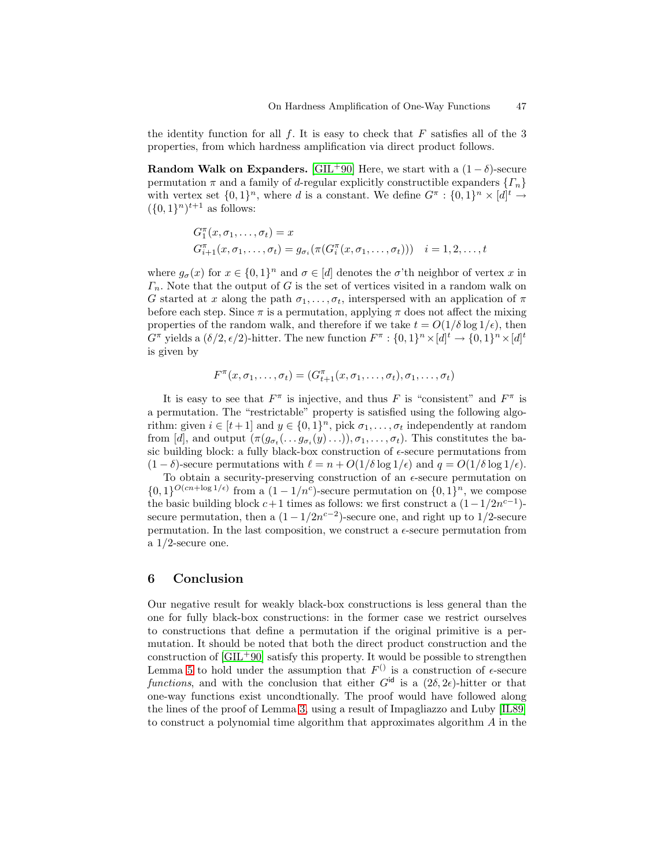the identity function for all  $f$ . It is easy to check that  $F$  satisfies all of the 3 properties, from which hardness amplification via direct product follows.

**Random Walk on Expanders.** [\[GIL](#page-14-0)<sup>+</sup>90] Here, we start with a  $(1 - \delta)$ -secure permutation  $\pi$  and a family of d-regular explicitly constructible expanders  $\{ \Gamma_n \}$ with vertex set  $\{0,1\}^n$ , where d is a constant. We define  $G^{\pi} : \{0,1\}^n \times [d]^t \rightarrow$  $({0, 1}^n)^{t+1}$  as follows:

$$
G_{1}^{\pi}(x, \sigma_1, \ldots, \sigma_t) = x
$$
  
\n
$$
G_{i+1}^{\pi}(x, \sigma_1, \ldots, \sigma_t) = g_{\sigma_i}(\pi(G_i^{\pi}(x, \sigma_1, \ldots, \sigma_t))) \quad i = 1, 2, \ldots, t
$$

where  $g_{\sigma}(x)$  for  $x \in \{0,1\}^n$  and  $\sigma \in [d]$  denotes the  $\sigma$ 'th neighbor of vertex x in  $\Gamma_n$ . Note that the output of G is the set of vertices visited in a random walk on G started at x along the path  $\sigma_1, \ldots, \sigma_t$ , interspersed with an application of  $\pi$ before each step. Since  $\pi$  is a permutation, applying  $\pi$  does not affect the mixing properties of the random walk, and therefore if we take  $t = O(1/\delta \log 1/\epsilon)$ , then  $G^{\pi}$  yields a  $(\delta/2, \epsilon/2)$ -hitter. The new function  $F^{\pi}: \{0,1\}^n \times [d]^t \to \{0,1\}^n \times [d]^t$ is given by

$$
F^{\pi}(x, \sigma_1, \ldots, \sigma_t) = (G^{\pi}_{t+1}(x, \sigma_1, \ldots, \sigma_t), \sigma_1, \ldots, \sigma_t)
$$

It is easy to see that  $F^{\pi}$  is injective, and thus F is "consistent" and  $F^{\pi}$  is a permutation. The "restrictable" property is satisfied using the following algorithm: given  $i \in [t+1]$  and  $y \in \{0,1\}^n$ , pick  $\sigma_1, \ldots, \sigma_t$  independently at random from [d], and output  $(\pi(g_{\sigma_t}(\ldots g_{\sigma_i}(y)\ldots)), \sigma_1, \ldots, \sigma_t)$ . This constitutes the basic building block: a fully black-box construction of  $\epsilon$ -secure permutations from  $(1 - \delta)$ -secure permutations with  $\ell = n + O(1/\delta \log 1/\epsilon)$  and  $q = O(1/\delta \log 1/\epsilon)$ .

To obtain a security-preserving construction of an  $\epsilon$ -secure permutation on  $\{0,1\}^{O(cn+\log 1/\epsilon)}$  from a  $(1-1/n^c)$ -secure permutation on  $\{0,1\}^n$ , we compose the basic building block  $c+1$  times as follows: we first construct a  $(1-1/2n^{c-1})$ secure permutation, then a  $(1 - 1/2n^{c-2})$ -secure one, and right up to 1/2-secure permutation. In the last composition, we construct a  $\epsilon$ -secure permutation from a  $1/2$ -secure one.

## **6 Conclusion**

Our negative result for weakly black-box constructions is less general than the one for fully black-box constructions: in the former case we restrict ourselves to constructions that define a permutation if the original primitive is a permutation. It should be noted that both the direct product construction and the construction of  $\left[ \text{GIL} + 90 \right]$  satisfy this property. It would be possible to strengthen Lemma [5](#page-10-0) to hold under the assumption that  $F^{()}$  is a construction of  $\epsilon$ -secure functions, and with the conclusion that either  $G^{\text{id}}$  is a  $(2\delta, 2\epsilon)$ -hitter or that one-way functions exist uncondtionally. The proof would have followed along the lines of the proof of Lemma [3,](#page-9-0) using a result of Impagliazzo and Luby [\[IL89\]](#page-14-0) to construct a polynomial time algorithm that approximates algorithm A in the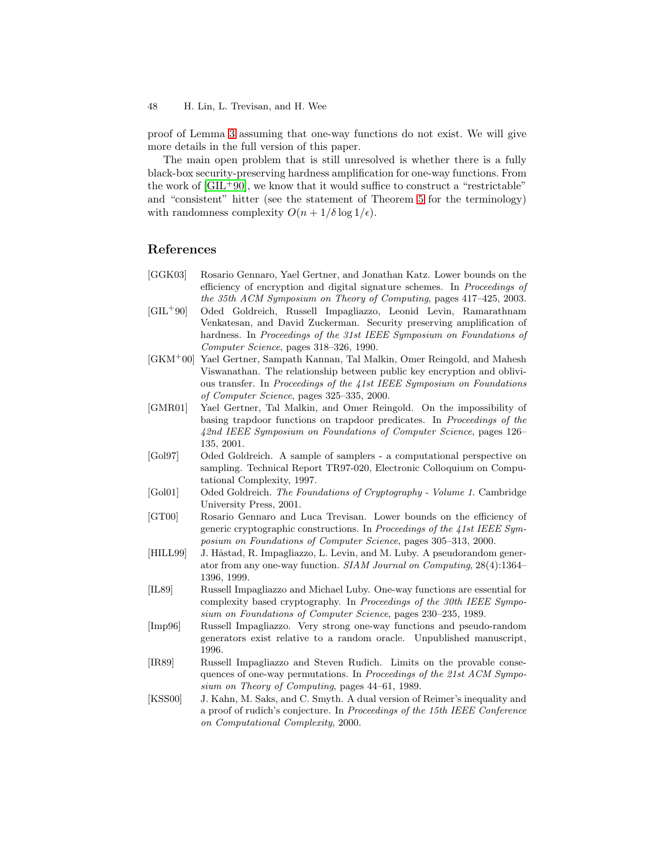<span id="page-14-0"></span>proof of Lemma [3](#page-9-0) assuming that one-way functions do not exist. We will give more details in the full version of this paper.

The main open problem that is still unresolved is whether there is a fully black-box security-preserving hardness amplification for one-way functions. From the work of  $[GIL+90]$ , we know that it would suffice to construct a "restrictable" and "consistent" hitter (see the statement of Theorem [5](#page-11-0) for the terminology) with randomness complexity  $O(n + 1/\delta \log 1/\epsilon)$ .

# **References**

- [GGK03] Rosario Gennaro, Yael Gertner, and Jonathan Katz. Lower bounds on the efficiency of encryption and digital signature schemes. In Proceedings of the 35th ACM Symposium on Theory of Computing, pages 417–425, 2003.
- [GIL<sup>+</sup>90] Oded Goldreich, Russell Impagliazzo, Leonid Levin, Ramarathnam Venkatesan, and David Zuckerman. Security preserving amplification of hardness. In Proceedings of the 31st IEEE Symposium on Foundations of Computer Science, pages 318–326, 1990.
- [GKM<sup>+</sup>00] Yael Gertner, Sampath Kannan, Tal Malkin, Omer Reingold, and Mahesh Viswanathan. The relationship between public key encryption and oblivious transfer. In Proceedings of the 41st IEEE Symposium on Foundations of Computer Science, pages 325–335, 2000.
- [GMR01] Yael Gertner, Tal Malkin, and Omer Reingold. On the impossibility of basing trapdoor functions on trapdoor predicates. In Proceedings of the 42nd IEEE Symposium on Foundations of Computer Science, pages 126– 135, 2001.
- [Gol97] Oded Goldreich. A sample of samplers a computational perspective on sampling. Technical Report TR97-020, Electronic Colloquium on Computational Complexity, 1997.
- [Gol01] Oded Goldreich. The Foundations of Cryptography Volume 1. Cambridge University Press, 2001.
- [GT00] Rosario Gennaro and Luca Trevisan. Lower bounds on the efficiency of generic cryptographic constructions. In Proceedings of the 41st IEEE Symposium on Foundations of Computer Science, pages 305–313, 2000.
- [HILL99] J. Håstad, R. Impagliazzo, L. Levin, and M. Luby. A pseudorandom generator from any one-way function. SIAM Journal on Computing, 28(4):1364– 1396, 1999.
- [IL89] Russell Impagliazzo and Michael Luby. One-way functions are essential for complexity based cryptography. In Proceedings of the 30th IEEE Symposium on Foundations of Computer Science, pages 230–235, 1989.
- [Imp96] Russell Impagliazzo. Very strong one-way functions and pseudo-random generators exist relative to a random oracle. Unpublished manuscript, 1996.
- [IR89] Russell Impagliazzo and Steven Rudich. Limits on the provable consequences of one-way permutations. In Proceedings of the 21st ACM Symposium on Theory of Computing, pages 44–61, 1989.
- [KSS00] J. Kahn, M. Saks, and C. Smyth. A dual version of Reimer's inequality and a proof of rudich's conjecture. In Proceedings of the 15th IEEE Conference on Computational Complexity, 2000.